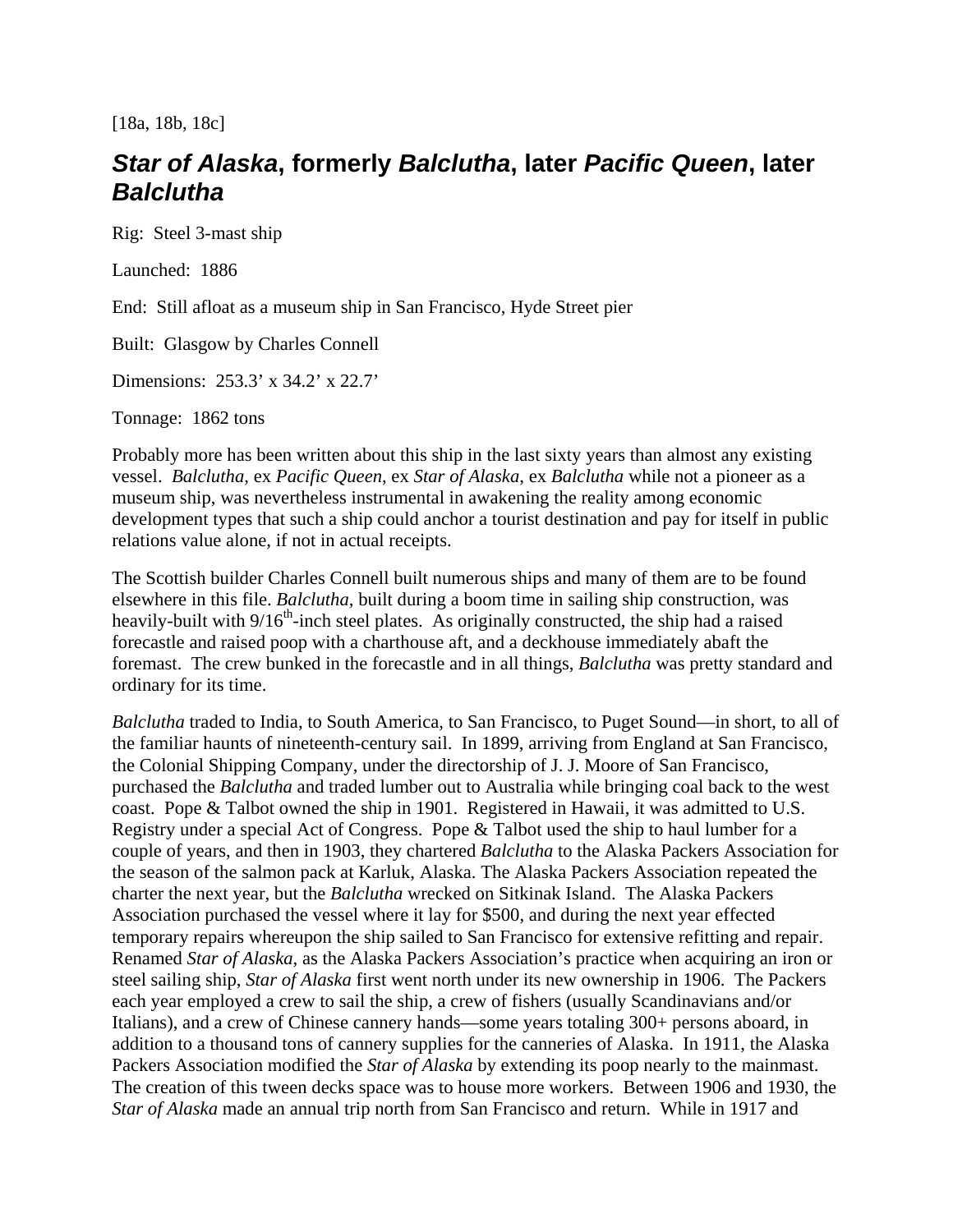[18a, 18b, 18c]

## *Star of Alaska***, formerly** *Balclutha***, later** *Pacific Queen***, later**  *Balclutha*

Rig: Steel 3-mast ship

Launched: 1886

End: Still afloat as a museum ship in San Francisco, Hyde Street pier

Built: Glasgow by Charles Connell

Dimensions: 253.3' x 34.2' x 22.7'

Tonnage: 1862 tons

Probably more has been written about this ship in the last sixty years than almost any existing vessel. *Balclutha*, ex *Pacific Queen*, ex *Star of Alaska*, ex *Balclutha* while not a pioneer as a museum ship, was nevertheless instrumental in awakening the reality among economic development types that such a ship could anchor a tourist destination and pay for itself in public relations value alone, if not in actual receipts.

The Scottish builder Charles Connell built numerous ships and many of them are to be found elsewhere in this file. *Balclutha*, built during a boom time in sailing ship construction, was heavily-built with  $9/16^{th}$ -inch steel plates. As originally constructed, the ship had a raised forecastle and raised poop with a charthouse aft, and a deckhouse immediately abaft the foremast. The crew bunked in the forecastle and in all things, *Balclutha* was pretty standard and ordinary for its time.

*Balclutha* traded to India, to South America, to San Francisco, to Puget Sound—in short, to all of the familiar haunts of nineteenth-century sail. In 1899, arriving from England at San Francisco, the Colonial Shipping Company, under the directorship of J. J. Moore of San Francisco, purchased the *Balclutha* and traded lumber out to Australia while bringing coal back to the west coast. Pope & Talbot owned the ship in 1901. Registered in Hawaii, it was admitted to U.S. Registry under a special Act of Congress. Pope & Talbot used the ship to haul lumber for a couple of years, and then in 1903, they chartered *Balclutha* to the Alaska Packers Association for the season of the salmon pack at Karluk, Alaska. The Alaska Packers Association repeated the charter the next year, but the *Balclutha* wrecked on Sitkinak Island. The Alaska Packers Association purchased the vessel where it lay for \$500, and during the next year effected temporary repairs whereupon the ship sailed to San Francisco for extensive refitting and repair. Renamed *Star of Alaska*, as the Alaska Packers Association's practice when acquiring an iron or steel sailing ship, *Star of Alaska* first went north under its new ownership in 1906. The Packers each year employed a crew to sail the ship, a crew of fishers (usually Scandinavians and/or Italians), and a crew of Chinese cannery hands—some years totaling 300+ persons aboard, in addition to a thousand tons of cannery supplies for the canneries of Alaska. In 1911, the Alaska Packers Association modified the *Star of Alaska* by extending its poop nearly to the mainmast. The creation of this tween decks space was to house more workers. Between 1906 and 1930, the *Star of Alaska* made an annual trip north from San Francisco and return. While in 1917 and